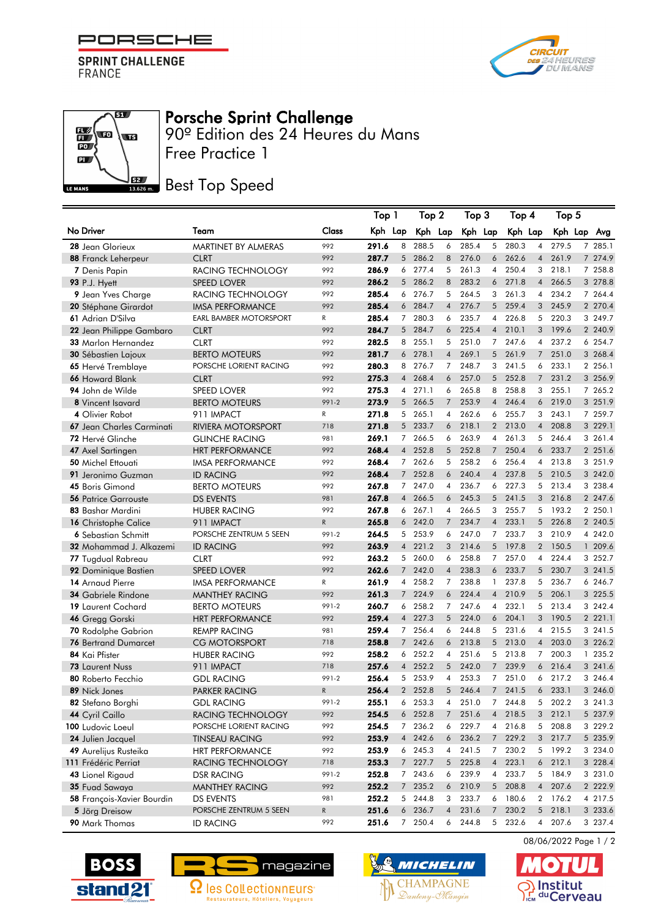

**SPRINT CHALLENGE**<br>FRANCE

**THE** 

 $\mathbb{E}\left( \mathbf{r}\right)$ 

 $\overline{PQ}$  $\overline{\mathbf{a}}$ 

LE MANS



## Porsche Sprint Challenge

Free Practice 1 90º Edition des 24 Heures du Mans

## **BEZ** Best Top Speed

|                             |                               |           |         | Top 1          |         | Top 2          | Top 3   |                | Top 4   |                | Top 5   |  |             |  |
|-----------------------------|-------------------------------|-----------|---------|----------------|---------|----------------|---------|----------------|---------|----------------|---------|--|-------------|--|
| No Driver                   | Team                          | Class     | Kph Lap |                | Kph Lap |                | Kph Lap |                | Kph Lap |                | Kph Lap |  | Avg         |  |
| 28 Jean Glorieux            | MARTINET BY ALMERAS           | 992       | 291.6   | 8              | 288.5   | 6              | 285.4   | 5              | 280.3   | $\overline{4}$ | 279.5   |  | 7 285.1     |  |
| 88 Franck Leherpeur         | <b>CLRT</b>                   | 992       | 287.7   | 5 <sup>5</sup> | 286.2   | 8              | 276.0   | 6              | 262.6   | $\overline{4}$ | 261.9   |  | 7 274.9     |  |
| 7 Denis Papin               | RACING TECHNOLOGY             | 992       | 286.9   |                | 6 277.4 | 5              | 261.3   | $\overline{4}$ | 250.4   | 3              | 218.1   |  | 7 258.8     |  |
| 93 P.J. Hyett               | <b>SPEED LOVER</b>            | 992       | 286.2   | 5              | 286.2   | 8              | 283.2   | 6              | 271.8   | $\overline{4}$ | 266.5   |  | 3 278.8     |  |
| 9 Jean Yves Charge          | RACING TECHNOLOGY             | 992       | 285.4   | 6              | 276.7   | 5              | 264.5   | 3              | 261.3   | 4              | 234.2   |  | 7 264.4     |  |
| 20 Stéphane Girardot        | <b>IMSA PERFORMANCE</b>       | 992       | 285.4   | 6              | 284.7   | $\overline{4}$ | 276.7   | 5              | 259.4   |                | 3 245.9 |  | 2 270.4     |  |
| 61 Adrian D'Silva           | <b>EARL BAMBER MOTORSPORT</b> | R         | 285.4   | $7^{\circ}$    | 280.3   | 6              | 235.7   | 4              | 226.8   | 5              | 220.3   |  | 3 249.7     |  |
| 22 Jean Philippe Gambaro    | <b>CLRT</b>                   | 992       | 284.7   | 5              | 284.7   | 6              | 225.4   | $\overline{4}$ | 210.1   | 3              | 199.6   |  | 2 240.9     |  |
| 33 Marlon Hernandez         | <b>CLRT</b>                   | 992       | 282.5   | 8              | 255.1   | 5              | 251.0   | 7              | 247.6   | $\overline{4}$ | 237.2   |  | 6 254.7     |  |
| <b>30 Sébastien Lajoux</b>  | <b>BERTO MOTEURS</b>          | 992       | 281.7   | 6              | 278.1   | $\overline{4}$ | 269.1   | 5              | 261.9   | $\overline{7}$ | 251.0   |  | 3 268.4     |  |
| 65 Hervé Tremblaye          | PORSCHE LORIENT RACING        | 992       | 280.3   | 8              | 276.7   | $\overline{7}$ | 248.7   | 3              | 241.5   | 6              | 233.1   |  | 2 256.1     |  |
| 66 Howard Blank             | <b>CLRT</b>                   | 992       | 275.3   | $\overline{4}$ | 268.4   | 6              | 257.0   | 5              | 252.8   |                | 7 231.2 |  | 3 256.9     |  |
| 94 John de Wilde            | <b>SPEED LOVER</b>            | 992       | 275.3   | $\overline{4}$ | 271.1   | 6              | 265.8   | 8              | 258.8   | 3              | 255.1   |  | 7 265.2     |  |
| 8 Vincent Isavard           | <b>BERTO MOTEURS</b>          | 991-2     | 273.9   |                | 5 266.5 | $\overline{7}$ | 253.9   | $\overline{4}$ | 246.4   | 6              | 219.0   |  | 3 251.9     |  |
| 4 Olivier Rabot             | 911 IMPACT                    | R         | 271.8   | 5 <sup>5</sup> | 265.1   | $\overline{4}$ | 262.6   | 6              | 255.7   | 3              | 243.1   |  | 7 259.7     |  |
| 67 Jean Charles Carminati   | RIVIERA MOTORSPORT            | 718       | 271.8   | 5              | 233.7   | 6              | 218.1   | $\overline{2}$ | 213.0   | $\overline{4}$ | 208.8   |  | 3 229.1     |  |
| 72 Hervé Glinche            | <b>GLINCHE RACING</b>         | 981       | 269.1   | $\overline{7}$ | 266.5   | 6              | 263.9   | 4              | 261.3   | 5              | 246.4   |  | 3 261.4     |  |
| 47 Axel Sartingen           | <b>HRT PERFORMANCE</b>        | 992       | 268.4   | $\overline{4}$ | 252.8   | 5              | 252.8   | $7^{\circ}$    | 250.4   | 6              | 233.7   |  | 2 251.6     |  |
| 50 Michel Ettouati          | <b>IMSA PERFORMANCE</b>       | 992       | 268.4   | $7^{\circ}$    | 262.6   | 5              | 258.2   | 6              | 256.4   | 4              | 213.8   |  | 3 251.9     |  |
| 91 Jeronimo Guzman          | <b>ID RACING</b>              | 992       | 268.4   | 7 <sup>7</sup> | 252.8   | 6              | 240.4   | $\overline{4}$ | 237.8   | 5 <sup>5</sup> | 210.5   |  | 3 242.0     |  |
| 45 Boris Gimond             | <b>BERTO MOTEURS</b>          | 992       | 267.8   | $7^{\circ}$    | 247.0   | $\overline{4}$ | 236.7   | 6              | 227.3   | 5 <sup>5</sup> | 213.4   |  | 3 238.4     |  |
| <b>56 Patrice Garrouste</b> | <b>DS EVENTS</b>              | 981       | 267.8   | $\overline{4}$ | 266.5   | 6              | 245.3   | 5              | 241.5   | 3              | 216.8   |  | 2 247.6     |  |
| 83 Bashar Mardini           | <b>HUBER RACING</b>           | 992       | 267.8   | 6              | 267.1   | $\overline{4}$ | 266.5   | 3              | 255.7   | 5              | 193.2   |  | 2 250.1     |  |
| 16 Christophe Calice        | 911 IMPACT                    | ${\sf R}$ | 265.8   |                | 6 242.0 | $\overline{7}$ | 234.7   | $\overline{4}$ | 233.1   |                | 5 226.8 |  | 2 240.5     |  |
| 6 Sebastian Schmitt         | PORSCHE ZENTRUM 5 SEEN        | 991-2     | 264.5   |                | 5 253.9 | 6              | 247.0   | $\overline{7}$ | 233.7   |                | 3 210.9 |  | 4 242.0     |  |
| 32 Mohammad J. Alkazemi     | <b>ID RACING</b>              | 992       | 263.9   | $\overline{4}$ | 221.2   | 3              | 214.6   | 5              | 197.8   |                | 2 150.5 |  | 1 209.6     |  |
| 77 Tugdual Rabreau          | <b>CLRT</b>                   | 992       | 263.2   |                | 5 260.0 | 6              | 258.8   | 7              | 257.0   | $\overline{4}$ | 224.4   |  | 3 252.7     |  |
| 92 Dominique Bastien        | <b>SPEED LOVER</b>            | 992       | 262.6   | $7^{\circ}$    | 242.0   | $\overline{4}$ | 238.3   | 6              | 233.7   | 5              | 230.7   |  | 3 241.5     |  |
| 14 Arnaud Pierre            | <b>IMSA PERFORMANCE</b>       | R         | 261.9   | 4              | 258.2   | $\overline{7}$ | 238.8   | 1              | 237.8   | 5              | 236.7   |  | 6 246.7     |  |
| <b>34 Gabriele Rindone</b>  | <b>MANTHEY RACING</b>         | 992       | 261.3   | $7^{\circ}$    | 224.9   | 6              | 224.4   | $\overline{4}$ | 210.9   |                | 5 206.1 |  | 3 225.5     |  |
| 19 Laurent Cochard          | <b>BERTO MOTEURS</b>          | 991-2     | 260.7   | 6              | 258.2   | $\overline{7}$ | 247.6   | 4              | 232.1   | 5              | 213.4   |  | 3 242.4     |  |
| 46 Gregg Gorski             | <b>HRT PERFORMANCE</b>        | 992       | 259.4   | $\overline{4}$ | 227.3   | 5              | 224.0   | 6              | 204.1   | 3              | 190.5   |  | 2 221.1     |  |
| 70 Rodolphe Gabrion         | <b>REMPP RACING</b>           | 981       | 259.4   | $7^{\circ}$    | 256.4   | 6              | 244.8   | 5              | 231.6   | $\overline{4}$ | 215.5   |  | 3 241.5     |  |
| <b>76 Bertrand Dumarcet</b> | <b>CG MOTORSPORT</b>          | 718       | 258.8   | $7^{\circ}$    | 242.6   | 6              | 213.8   | 5              | 213.0   | $\overline{4}$ | 203.0   |  | 3 226.2     |  |
| 84 Kai Pfister              | <b>HUBER RACING</b>           | 992       | 258.2   | 6              | 252.2   | 4              | 251.6   | 5              | 213.8   | $\overline{7}$ | 200.3   |  | 1 235.2     |  |
| <b>73 Laurent Nuss</b>      | 911 IMPACT                    | 718       | 257.6   |                | 4 252.2 | 5              | 242.0   | $\overline{7}$ | 239.9   |                | 6 216.4 |  | 3 241.6     |  |
| 80 Roberto Fecchio          | <b>GDL RACING</b>             | 991-2     | 256.4   |                | 5 253.9 | 4              | 253.3   | 7              | 251.0   | 6              | 217.2   |  | 3 246.4     |  |
| 89 Nick Jones               | PARKER RACING                 | ${\sf R}$ | 256.4   |                | 2 252.8 | 5              | 246.4   | $7^{\circ}$    | 241.5   | 6              | 233.1   |  | 3 246.0     |  |
| 82 Stefano Borghi           | <b>GDL RACING</b>             | 991-2     | 255.1   | 6              | 253.3   | 4              | 251.0   | 7 <sup>7</sup> | 244.8   | 5              | 202.2   |  | 3 241.3     |  |
| 44 Cyril Caillo             | RACING TECHNOLOGY             | 992       | 254.5   |                | 6 252.8 | $\overline{7}$ | 251.6   | $\overline{4}$ | 218.5   | 3              | 212.1   |  | 5 237.9     |  |
| 100 Ludovic Loeul           | PORSCHE LORIENT RACING        | 992       | 254.5   | 7              | 236.2   | 6              | 229.7   | 4              | 216.8   | 5              | 208.8   |  | 3 229.2     |  |
| 24 Julien Jacquel           | <b>TINSEAU RACING</b>         | 992       | 253.9   |                | 4 242.6 | 6              | 236.2   | 7 <sup>7</sup> | 229.2   |                | 3 217.7 |  | 5 235.9     |  |
| 49 Aurelijus Rusteika       | <b>HRT PERFORMANCE</b>        | 992       | 253.9   |                | 6 245.3 | 4              | 241.5   |                | 7 230.2 |                | 5 199.2 |  | 3 234.0     |  |
| 111 Frédéric Perriat        | RACING TECHNOLOGY             | 718       | 253.3   |                | 7 227.7 | 5              | 225.8   | $\overline{4}$ | 223.1   |                | 6 212.1 |  | 3 228.4     |  |
| 43 Lionel Rigaud            | DSR RACING                    | 991-2     | 252.8   |                | 7 243.6 | 6              | 239.9   |                | 4 233.7 |                | 5 184.9 |  | 3 231.0     |  |
| 35 Fuad Sawaya              | <b>MANTHEY RACING</b>         | 992       | 252.2   | 7 <sup>7</sup> | 235.2   | 6              | 210.9   | 5              | 208.8   | 4              | 207.6   |  | 2 2 2 2 . 9 |  |
| 58 François-Xavier Bourdin  | <b>DS EVENTS</b>              | 981       | 252.2   | 5              | 244.8   | 3              | 233.7   | 6              | 180.6   |                | 2 176.2 |  | 4 217.5     |  |
| 5 Jörg Dreisow              | PORSCHE ZENTRUM 5 SEEN        | R         | 251.6   |                | 6 236.7 | $\overline{4}$ | 231.6   |                | 7 230.2 |                | 5 218.1 |  | 3 233.6     |  |
| 90 Mark Thomas              | <b>ID RACING</b>              | 992       | 251.6   | 7              | 250.4   | 6              | 244.8   |                | 5 232.6 |                | 4 207.6 |  | 3 237.4     |  |